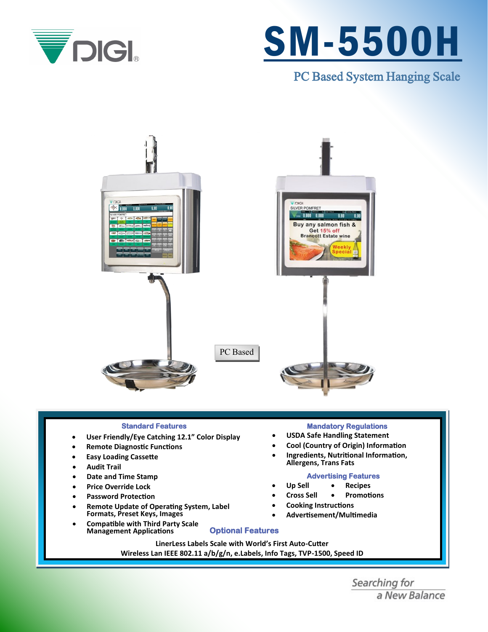

# SM-5500H

PC Based System Hanging Scale



## **Standard Features**

- **User Friendly/Eye Catching 12.1" Color Display**
- **Remote Diagnostic Functions**
- **Easy Loading Cassette**
- **Audit Trail**
- **Date and Time Stamp**
- **Price Override Lock**
- **Password Protection**
- **Remote Update of Operating System, Label Formats, Preset Keys, Images**
- **Compatible with Third Party Scale Management Applications**

# **Mandatory Regulations**

- **USDA Safe Handling Statement**
- **Cool (Country of Origin) Information**
- **Ingredients, Nutritional Information, Allergens, Trans Fats**

## **Advertising Features**

- **Up Sell** • **Recipes**
	- **Cross Sell** • **Promotions**
- **Cooking Instructions**
- **Advertisement/Multimedia**

**LinerLess Labels Scale with World's First Auto-Cutter Wireless Lan IEEE 802.11 a/b/g/n, e.Labels, Info Tags, TVP-1500, Speed ID**

**Optional Features** 

Searching for a New Balance